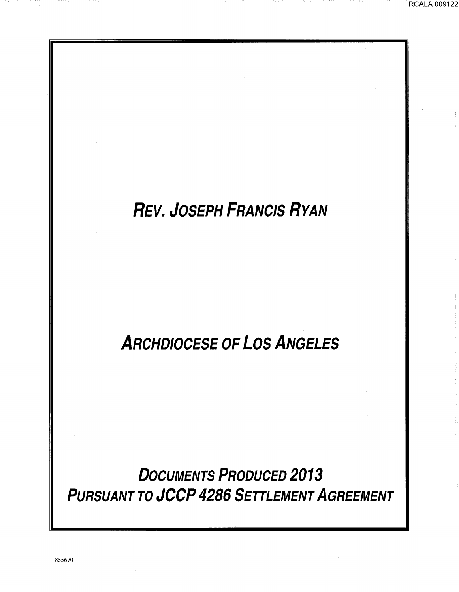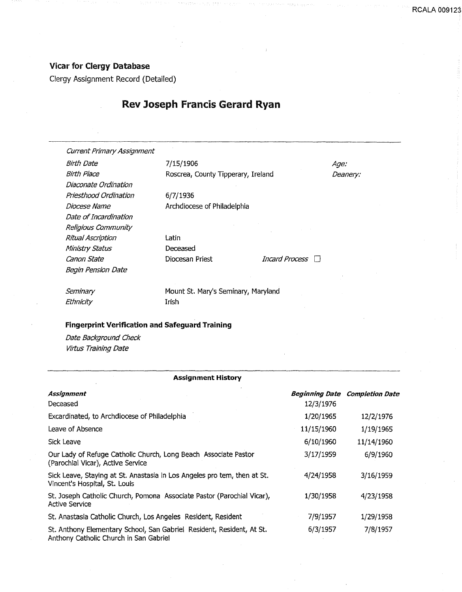## Vicar for Clergy Database

Clergy Assignment Record (Detailed)

## Rev Joseph Francis Gerard Ryan

Current Primary Assignment

Birth Date **7/15/1906 Age:** Diaconate Ordination Priesthood Ordination 6/7/1936 Date of Incardination Religious Community Ritual Ascription Ministry Status canon State Begin Pension Date

Birth Place **Roscrea, County Tipperary, Ireland** Deanery:

Diocese Name **Archdiocese of Philadelphia** 

Latin Deceased

Diocesan Priest *Incard Process* 

**Seminary Ethnicity** 

Mount St. Mary's Seminary, Maryland Irish

## Fingerprint Verification and Safeguard Training

Date Background Check Virtus Training Date

| <b>Assignment History</b>                                                                                       |                       |                        |
|-----------------------------------------------------------------------------------------------------------------|-----------------------|------------------------|
| Assignment                                                                                                      | <b>Beginning Date</b> | <b>Completion Date</b> |
| Deceased                                                                                                        | 12/3/1976             |                        |
| Excardinated, to Archdiocese of Philadelphia                                                                    | 1/20/1965             | 12/2/1976              |
| Leave of Absence                                                                                                | 11/15/1960            | 1/19/1965              |
| Sick Leave                                                                                                      | 6/10/1960             | 11/14/1960             |
| Our Lady of Refuge Catholic Church, Long Beach Associate Pastor<br>(Parochial Vicar), Active Service            | 3/17/1959             | 6/9/1960               |
| Sick Leave, Staying at St. Anastasia in Los Angeles pro tem, then at St.<br>Vincent's Hospital, St. Louis       | 4/24/1958             | 3/16/1959              |
| St. Joseph Catholic Church, Pomona Associate Pastor (Parochial Vicar),<br><b>Active Service</b>                 | 1/30/1958             | 4/23/1958              |
| St. Anastasia Catholic Church, Los Angeles Resident, Resident                                                   | 7/9/1957              | 1/29/1958              |
| St. Anthony Elementary School, San Gabriel Resident, Resident, At St.<br>Anthony Catholic Church in San Gabriel | 6/3/1957              | 7/8/1957               |